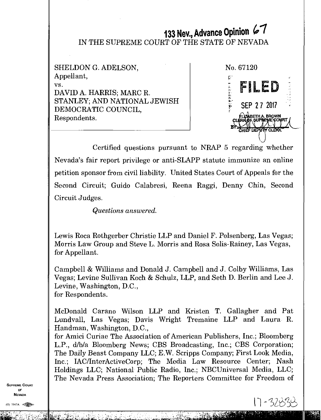# **133 Nev., Advance Opinion** *41*  IN THE SUPREME COURT OF THE STATE OF NEVADA

| SHELDON G. ADELSON,                                                                    | No. 67120                                                         |
|----------------------------------------------------------------------------------------|-------------------------------------------------------------------|
| Appellant,                                                                             | U                                                                 |
| VS.<br>DAVID A. HARRIS; MARC R.<br>STANLEY; AND NATIONAL JEWISH<br>DEMOCRATIC COUNCIL, | FILED<br>SEP 27 2017                                              |
| Respondents.                                                                           | ELIZABETH A BROWN<br>CLERK OF SUPREME COURT<br>CHIEF DEPUTY CLERK |

Certified questions pursuant to NRAP 5 regarding whether Nevada's fair report privilege or anti-SLAPP statute immunize an online petition sponsor from civil liability. United States Court of Appeals for the Second Circuit; Guido Calabresi, Reena Raggi, Denny Chin, Second Circuit Judges.

*Questions answered.* 

Lewis Roca Rothgerber Christie LLP and Daniel F. Polsenberg, Las Vegas; Morris Law Group and Steve L. Morris and Rosa Solis-Rainey, Las Vegas, for Appellant.

Campbell & Williams and Donald J. Campbell and J. Colby Williams, Las Vegas; Levine Sullivan Koch *8y* Schulz, LLP, and Seth D. Berlin and Lee J. Levine, Washington, D.C., for Respondents.

McDonald Carano Wilson LLP and Kristen T. Gallagher and Pat Lundvall, Las Vegas; Davis Wright Tremaine LLP and Laura R. Handman, Washington, D.C.,

for Amici Curiae The Association of American Publishers, Inc.; Bloomberg L.P., d/b/a Bloomberg News; CBS Broadcasting, Inc.; CBS Corporation; The Daily Beast Company LLC; E.W. Scripps Company; First Look Media, Inc.; IAC/InterActiveCorp; The Media Law Resource Center; Nash Holdings LLC; National Public Radio, Inc.; NBCUniversal Media, LLC; The Nevada Press Association; The Reporters Committee for Freedom of

SUPREME COURT OF NEVADA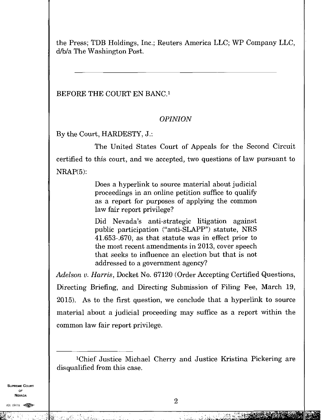the Press; TDB Holdings, Inc.; Reuters America LLC; WP Company LLC, d/b/a The Washington Post.

## BEFORE THE COURT EN BANC.<sup>1</sup>

# *OPINION*

By the Court, HARDESTY, J.:

The United States Court of Appeals for the Second Circuit certified to this court, and we accepted, two questions of law pursuant to NRAP(5):

> Does a hyperlink to source material about judicial proceedings in an online petition suffice to qualify as a report for purposes of applying the common law fair report privilege?

> Did Nevada's anti-strategic litigation against public participation ("anti-SLAPP") statute, NRS 41.653-.670, as that statute was in effect prior to the most recent amendments in 2013, cover speech that seeks to influence an election but that is not addressed to a government agency?

*Adelson v. Harris,* Docket No. 67120 (Order Accepting Certified Questions, Directing Briefing, and Directing Submission of Filing Fee, March 19, 2015). As to the first question, we conclude that a hyperlink to source material about a judicial proceeding may suffice as a report within the common law fair report privilege.

SUPREME COURT OF NEVADA

 $\sim 10$ 

E Pira

an yan

<sup>1</sup>Chief Justice Michael Cherry and Justice Kristina Pickering are disqualified from this case.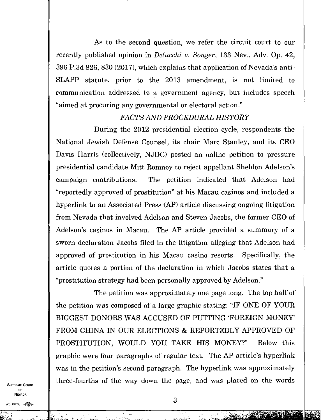As to the second question, we refer the circuit court to our recently published opinion in *Delucchi v. Songer,* 133 Nev., Adv. Op. 42, 396 P.3d 826, 830 (2017), which explains that application of Nevada's anti-SLAPP statute, prior to the 2013 amendment, is not limited to communication addressed to a government agency, but includes speech "aimed at procuring any governmental or electoral action."

# *FACTS AND PROCEDURAL HISTORY*

During the 2012 presidential election cycle, respondents the National Jewish Defense Counsel, its chair Marc Stanley, and its CEO Davis Harris (collectively, NJDC) posted an online petition to pressure presidential candidate Mitt Romney to reject appellant Sheldon Adelson's campaign contributions. The petition indicated that Adelson had "reportedly approved of prostitution" at his Macau casinos and included a hyperlink to an Associated Press (AP) article discussing ongoing litigation from Nevada that involved Adelson and Steven Jacobs, the former CEO of Adelson's casinos in Macau. The AP article provided a summary of a sworn declaration Jacobs filed in the litigation alleging that Adelson had approved of prostitution in his Macau casino resorts. Specifically, the article quotes a portion of the declaration in which Jacobs states that a "prostitution strategy had been personally approved by Adelson."

The petition was approximately one page long. The top half of the petition was composed of a large graphic stating: "IF ONE OF YOUR BIGGEST DONORS WAS ACCUSED OF PUTTING 'FOREIGN MONEY' FROM CHINA IN OUR ELECTIONS & REPORTEDLY APPROVED OF PROSTITUTION, WOULD YOU TAKE HIS MONEY?" Below this graphic were four paragraphs of regular text. The AP article's hyperlink was in the petition's second paragraph. The hyperlink was approximately three-fourths of the way down the page, and was placed on the words

SUPREME COURT OF **NEVADA** 

(0) 1947A

ا سال سال المتحدة المواد المواد المواد المواد المواد المواد المواد المواد المواد المواد المواد المواد

chiam and the second second second second second second second second second second second second second second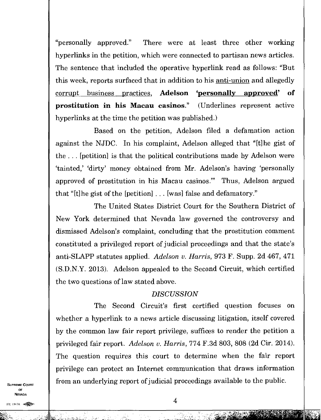"personally approved." There were at least three other working hyperlinks in the petition, which were connected to partisan news articles. The sentence that included the operative hyperlink read as follows: "But this week, reports surfaced that in addition to his <u>anti-union</u> and allegedly corrupt business practices, **Adelson 'personally approved'of prostitution in his Macau casinos."** (Underlines represent active hyperlinks at the time the petition was published.)

Based on the petition, Adelson filed a defamation action against the NJDC. In his complaint, Adelson alleged that "[t]he gist of the . . . [petition] is that the political contributions made by Adelson were 'tainted,' dirty' money obtained from Mr. Adelson's having 'personally approved of prostitution in his Macau casinos." Thus, Adelson argued that "[t]he gist of the [petition] . . . [was] false and defamatory."

The United States District Court for the Southern District of New York determined that Nevada law governed the controversy and dismissed Adelson's complaint, concluding that the prostitution comment constituted a privileged report of judicial proceedings and that the state's anti-SLAPP statutes applied. *Adelson v. Harris,* 973 F. Supp. 2d 467, 471 (S.D.N.Y. 2013). Adelson appealed to the Second Circuit, which certified the two questions of law stated above.

### *DISCUSSION*

The Second Circuit's first certified question focuses on whether a hyperlink to a news article discussing litigation, itself covered by the common law fair report privilege, suffices to render the petition a privileged fair report. *Adelson v. Harris,* 774 F.3d 803, 808 (2d Cir. 2014). The question requires this court to determine when the fair report privilege can protect an Internet communication that draws information from an underlying report of judicial proceedings available to the public.

SUPREME COURT OF **NEVADA**  $\begin{array}{c|c}\n\text{OF} \\
\text{NEVADA} \\
\hline\n\text{O} & 1947\text{A} & \text{FWHM} \\
\end{array}$ 

أحسناها فأسترة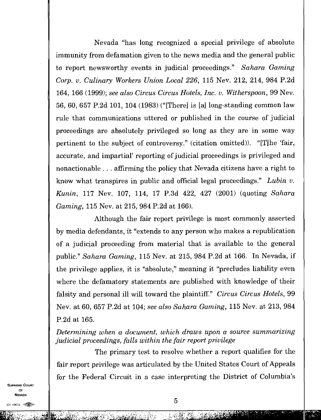Nevada "has long recognized a special privilege of absolute immunity from defamation given to the news media and the general public to report newsworthy events in judicial proceedings." *Sahara Gaming Corp. v. Culinary Workers Union Local 226,* 115 Nev. 212, 214, 984 P.2d 164, 166 (1999); *see also Circus Circus Hotels, Inc. v. Witherspoon,* 99 Nev. 56, 60, 657 P.2d 101, 104 (1983) ("[There] is [a] long-standing common law rule that communications uttered or published in the course of judicial proceedings are absolutely privileged so long as they are in some way pertinent to the subject of controversy." (citation omitted)). "[T]he 'fair, accurate, and impartial' reporting of judicial proceedings is privileged and nonactionable  $\ldots$  affirming the policy that Nevada citizens have a right to know what transpires in public and official legal proceedings." *Lubin v. Kunin,* 117 Nev. 107, 114, 17 P.3d 422, 427 (2001) (quoting *Sahara Gaming,* 115 Nev. at 215, 984 P.2d at 166).

Although the fair report privilege is most commonly asserted by media defendants, it "extends to any person who makes a republication of a judicial proceeding from material that is available to the general public." *Sahara Gaming,* 115 Nev. at 215, 984 P.2d at 166. In Nevada, if the privilege applies, it is "absolute," meaning it "precludes liability even where the defamatory statements are published with knowledge of their falsity and personal ill will toward the plaintiff." *Circus Circus Hotels*, 99 Nev. at 60, 657 P.2d at 104; *see also Sahara Gaming,* 115 Nev. at 213, 984 P.2d at 165.

*Determining when a document, which draws upon a source summarizing judicial proceedings, falls within the fair report privilege* 

The primary test to resolve whether a report qualifies for the fair report privilege was articulated by the United States Court of Appeals for the Federal Circuit in a case interpreting the District of Columbia's

SUPREME COURT OF NEVADA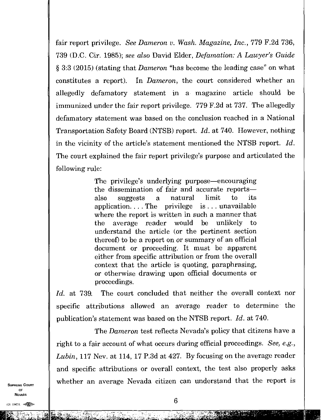fair report privilege. *See Dameron v. Wash. Magazine, Inc.,* 779 F.2d 736, 739 (D.C. Cir. 1985); *see also* David Elder, *Defamation:* A *Lawyer's Guide*  § 3:3 (2015) (stating that *Dameron* "has become the leading case" on what constitutes a report). In *Dameron,* the court considered whether an allegedly defamatory statement in a magazine article should be immunized under the fair report privilege. 779 F.2d at 737. The allegedly defamatory statement was based on the conclusion reached in a National Transportation Safety Board (NTSB) report *Id.* at 740. However, nothing in the vicinity of the article's statement mentioned the NTSB report. *Id.*  The court explained the fair report privilege's purpose and articulated the following rule:

> The privilege's underlying purpose—encouraging the dissemination of fair and accurate reports also suggests a natural limit to its application. . . . The privilege is. . . unavailable where the report is written in such a manner that the average reader would be unlikely to understand the article (or the pertinent section thereof) to be a report on or summary of an official document or proceeding. It must be apparent either from specific attribution or from the overall context that the article is quoting, paraphrasing, or otherwise drawing upon official documents or proceedings.

*Id.* at 739. The court concluded that neither the overall context nor specific attributions allowed an average reader to determine the publication's statement was based on the NTSB report. *Id.* at 740.

The *Dameron* test reflects Nevada's policy that citizens have a right to a fair account of what occurs during official proceedings. See, e.g., *Lubin,* 117 Nev. at 114, 17 P.3d at 427. By focusing on the average reader and specific attributions or overall context, the test also properly asks whether an average Nevada citizen can understand that the report is Example 1. The can understand that the report is<br>6

6

SUPREME COURT OF NEVADA

 $(0)$  1947 $k$   $\infty$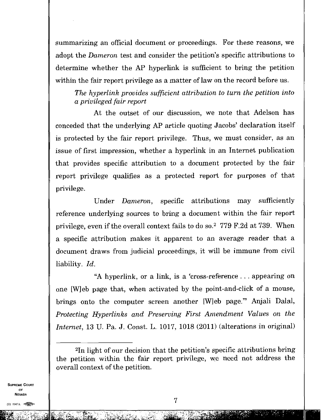summarizing an official document or proceedings. For these reasons, we adopt the *Dameron* test and consider the petition's specific attributions to determine whether the AP hyperlink is sufficient to bring the petition within the fair report privilege as a matter of law on the record before us.

*The hyperlink provides sufficient attribution to turn the petition into a privileged fair report* 

At the outset of our discussion, we note that Adelson has conceded that the underlying AP article quoting Jacobs' declaration itself is protected by the fair report privilege. Thus, we must consider, as an issue of first impression, whether a hyperlink in an Internet publication that provides specific attribution to a document protected by the fair report privilege qualifies as a protected report for purposes of that privilege.

Under *Dameron,* specific attributions may sufficiently reference underlying sources to bring a document within the fair report privilege, even if the overall context fails to do so.<sup>2</sup> 779 F.2d at 739. When a specific attribution makes it apparent to an average reader that a document draws from judicial proceedings, it will be immune from civil liability. *Id.* 

"A hyperlink, or a link, is a 'cross-reference . . . appearing on one [W] eb page that, when activated by the point-and-click of a mouse, brings onto the computer screen another [W] eb page." Anjali Dalal, *Protecting Hyperlinks and Preserving First Amendment Values on the Internet,* 13 U. Pa. J. Const. L. 1017, 1018 (2011) (alterations in original)

SUPREME COURT OF NEVADA  $\frac{1}{\sqrt{7}}$ <br>
(0) 1947A  $\frac{1}{\sqrt{7}}$ 

<sup>2</sup>In light of our decision that the petition's specific attributions bring the petition within the fair report privilege, we need not address the overall context of the petition.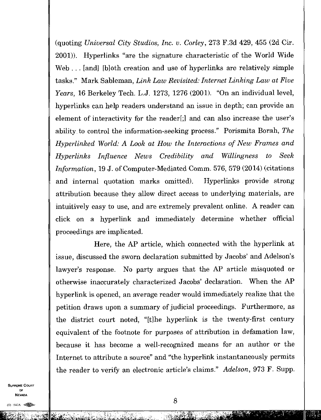(quoting *Universal City Studios, Inc. v. Corley,* 273 F.3d 429, 455 (2d Cir. 2001)). Hyperlinks "are the signature characteristic of the World Wide Web... [and] [b]oth creation and use of hyperlinks are relatively simple tasks." Mark Sableman, *Link Law Revisited: Internet Linking Law at Five Years,* 16 Berkeley Tech. L.J. 1273, 1276 (2001). "On an individual level, hyperlinks can help readers understand an issue in depth; can provide an element of interactivity for the reader [;] and can also increase the user's ability to control the information-seeking process." Porismita Borah, *The Hyperlinked World: A Look at How the Interactions of New Frames and Hyperlinks Influence News Credibility and Willingness to Seek Information,* 19 J. of Computer-Mediated Comm. 576, 579 (2014) (citations and internal quotation marks omitted). Hyperlinks provide strong attribution because they allow direct access to underlying materials, are intuitively easy to use, and are extremely prevalent online. A reader can click on a hyperlink and immediately determine whether official proceedings are implicated.

Here, the AP article, which connected with the hyperlink at issue, discussed the sworn declaration submitted by Jacobs' and Adelson's lawyer's response. No party argues that the AP article misquoted or otherwise inaccurately characterized Jacobs' declaration. When the AP hyperlink is opened, an average reader would immediately realize that the petition draws upon a summary of judicial proceedings. Furthermore, as the district court noted, "[t]he hyperlink is the twenty-first century equivalent of the footnote for purposes of attribution in defamation law, because it has become a well-recognized means for an author or the Internet to attribute a source" and "the hyperlink instantaneously permits the reader to verify an electronic article's claims." *Adelson,* 973 F. Supp.

SUPREME COURT OF NEVADA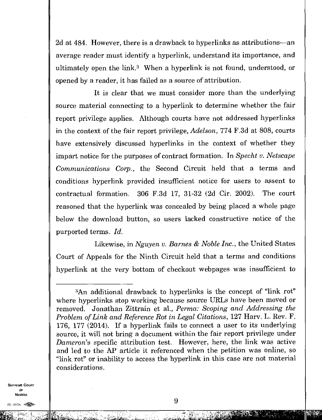2d at 484. However, there is a drawback to hyperlinks as attributions—an average reader must identify a hyperlink, understand its importance, and ultimately open the link. $3$  When a hyperlink is not found, understood, or opened by a reader, it has failed as a source of attribution.

It is clear that we must consider more than the underlying source material connecting to a hyperlink to determine whether the fair report privilege applies. Although courts have not addressed hyperlinks in the context of the fair report privilege, *Adelson,* 774 F.3d at 808, courts have extensively discussed hyperlinks in the context of whether they impart notice for the purposes of contract formation. In *Specht v. Netscape Communications Corp.,* the Second Circuit held that a terms and conditions hyperlink provided insufficient notice for users to assent to contractual formation. 306 F.3d 17, 31-32 (2d Cir. 2002). The court reasoned that the hyperlink was concealed by being placed a whole page below the download button, so users lacked constructive notice of the purported terms. *Id.* 

Likewise, in *Nguyen v. Barnes & Noble Inc.,* the United States Court of Appeals for the Ninth Circuit held that a terms and conditions hyperlink at the very bottom of checkout webpages was insufficient to

SUPREME COURT OF NEVADA

التالي لا دة منفتا

<sup>3</sup>An additional drawback to hyperlinks is the concept of "link rot" where hyperlinks stop working because source URLs have been moved or removed. Jonathan Zittrain et al., *Perma: Scoping and Addressing the Problem of Link and Reference Rot in Legal Citations,* 127 Harv. L. Rev. F. 176, 177 (2014). If a hyperlink fails to connect a user to its underlying source, it will not bring a document within the fair report privilege under *Dameron's* specific attribution test. However, here, the link was active and led to the AP article it referenced when the petition was online, so "link rot" or inability to access the hyperlink in this case are not material considerations.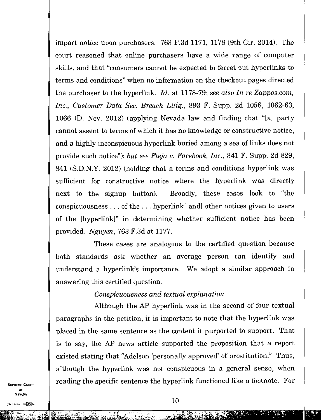impart notice upon purchasers. 763 F.3d 1171, 1178 (9th Cir. 2014). The court reasoned that online purchasers have a wide range of computer skills, and that "consumers cannot be expected to ferret out hyperlinks to terms and conditions" when no information on the checkout pages directed the purchaser to the hyperlink. *Id.* at 1178-79; *see* also *In re Zappos.com, Inc., Customer Data Sec. Breach Litig.,* 893 F. Supp. 2d 1058, 1062-63, 1066 (D. Nev. 2012) (applying Nevada law and finding that "[a] party cannot assent to terms of which it has no knowledge or constructive notice, and a highly inconspicuous hyperlink buried among a sea of links does not provide such notice"); *but see Fteja v. Facebook, Inc.,* 841 F. Supp. 2d 829, 841 (S.D.N.Y. 2012) (holding that a terms and conditions hyperlink was sufficient for constructive notice where the hyperlink was directly next to the signup button). Broadly, these cases look to "the conspicuousness . . of the . . . hyperlink[ and] other notices given to users of the [hyperlink]" in determining whether sufficient notice has been provided. *Nguyen,* 763 F.3d at 1177.

These cases are analogous to the certified question because both standards ask whether an average person can identify and understand a hyperlink's importance. We adopt a similar approach in answering this certified question.

#### *Conspicuousness and textual explanation*

Although the AP hyperlink was in the second of four textual paragraphs in the petition, it is important to note that the hyperlink was placed in the same sentence as the content it purported to support. That is to say, the AP news article supported the proposition that a report existed stating that "Adelson 'personally approved' of prostitution." Thus, although the hyperlink was not conspicuous in a general sense, when reading the specific sentence the hyperlink functioned like a footnote. For

SUPREME COURT OF NEVADA  $\overline{N}$   $\overline{N}$   $\overline{N}$   $\overline{N}$   $\overline{N}$   $\overline{N}$   $\overline{N}$   $\overline{N}$   $\overline{N}$   $\overline{N}$   $\overline{N}$   $\overline{N}$   $\overline{N}$   $\overline{N}$   $\overline{N}$   $\overline{N}$   $\overline{N}$   $\overline{N}$   $\overline{N}$   $\overline{N}$   $\overline{N}$   $\overline{N}$   $\overline{N}$   $\overline{N}$   $\overline{$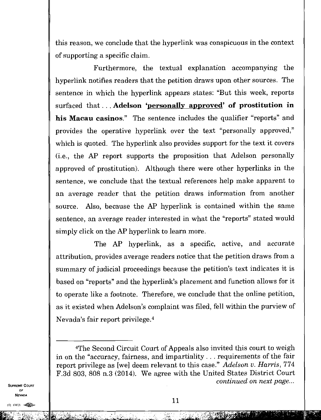this reason, we conclude that the hyperlink was conspicuous in the context of supporting a specific claim.

Furthermore, the textual explanation accompanying the hyperlink notifies readers that the petition draws upon other sources. The sentence in which the hyperlink appears states: "But this week, reports surfaced that. . . **Adelson 'personally approved' of prostitution in his Macau casinos."** The sentence includes the qualifier "reports" and provides the operative hyperlink over the text "personally approved," which is quoted. The hyperlink also provides support for the text it covers (i.e., the AP report supports the proposition that Adelson personally approved of prostitution). Although there were other hyperlinks in the sentence, we conclude that the textual references help make apparent to an average reader that the petition draws information from another source. Also, because the AP hyperlink is contained within the same sentence, an average reader interested in what the "reports" stated would simply click on the AP hyperlink to learn more.

The AP hyperlink, as a specific, active, and accurate attribution, provides average readers notice that the petition draws from a summary of judicial proceedings because the petition's text indicates it is based on "reports" and the hyperlink's placement and function allows for it to operate like a footnote. Therefore, we conclude that the online petition, as it existed when Adelson's complaint was filed, fell within the purview of Nevada's fair report privilege. <sup>4</sup>

EMI

<sup>4</sup>The Second Circuit Court of Appeals also invited this court to weigh in on the "accuracy, fairness, and impartiality . . . requirements of the fair report privilege as [we] deem relevant to this case." *Adelson v. Harris,* 774 F.3d 803, 808 n.3 (2014). We agree with the United States District Court *continued on next page...*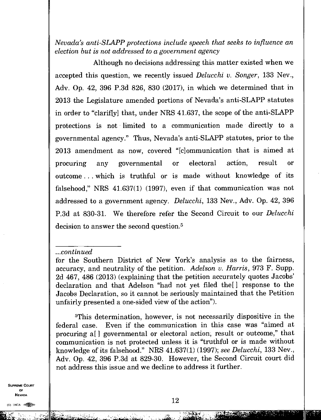*Nevada's anti-SLAPP protections include speech that seeks to influence an election but is not addressed to a government agency* 

Although no decisions addressing this matter existed when we accepted this question, we recently issued *Delucchi v. Songer,* 133 Nev., Adv. Op. 42, 396 P.3d 826, 830 (2017), in which we determined that in 2013 the Legislature amended portions of Nevada's anti-SLAPP statutes in order to "clarif[y] that, under NRS 41.637, the scope of the anti-SLAPP protections is not limited to a communication made directly to a governmental agency." Thus, Nevada's anti-SLAPP statutes, prior to the 2013 amendment as now, covered "[c]ommunication that is aimed at procuring any governmental or electoral action, result or outcome . . . which is truthful or is made without knowledge of its falsehood," NRS 41.637(1) (1997), even if that communication was not addressed to a government agency. *Delucchi,* 133 Nev., Adv. Op. 42, 396 P.3d at 830-31. We therefore refer the Second Circuit to our *Del ucchi*  decision to answer the second question.<sup>5</sup>

*...continued* 

<sup>5</sup>This determination, however, is not necessarily dispositive in the federal case. Even if the communication in this case was "aimed at procuring a[ ] governmental or electoral action, result or outcome," that communication is not protected unless it is "truthful or is made without knowledge of its falsehood." NRS 41.637(1) (1997); *see Delucchi,* 133 Nev., Adv. Op. 42, 396 P.3d at 829-30. However, the Second Circuit court did not address this issue and we decline to address it further.

SUPREME COURT OF NEVADA  $\begin{array}{ccc}\n\text{OF} \\
\text{Nevada} \\
\hline\n\text{Nevada} \\
\end{array}$ 

**bi Lit"- •** 

tea.

for the Southern District of New York's analysis as to the fairness, accuracy, and neutrality of the petition. *Adelson v. Harris,* 973 F. Supp. 2d 467, 486 (2013) (explaining that the petition accurately quotes Jacobs' declaration and that Adelson "had not yet filed the[ ] response to the Jacobs Declaration, so it cannot be seriously maintained that the Petition unfairly presented a one-sided view of the action").